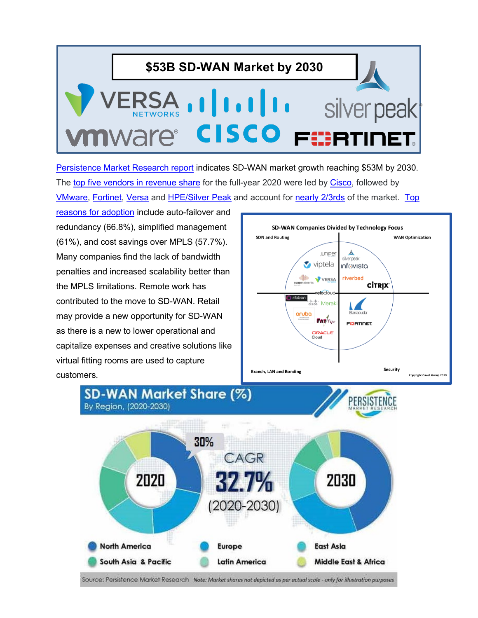

[Persistence Market Research report](https://www.persistencemarketresearch.com/market-research/sd-wan-market.asp) indicates SD-WAN market growth reaching \$53M by 2030. The [top five vendors in revenue share](https://www.capacitymedia.com/articles/3827888/cisco-ahead-in-sd-wan-as-market-grows-50-in-a-year) for the full-year 2020 were led by [Cisco,](https://www.cisco.com/c/dam/en/us/solutions/collateral/enterprise-networks/sd-wan/white-paper-c11-741640.docx/_jcr_content/renditions/white-paper-c11-741640_3.png) followed by [VMware,](https://www.vmware.com/) [Fortinet,](https://www.fortinet.com/) [Versa](https://versa-networks.com/) and [HPE/Silver Peak](https://www.hpe.com/us/en/newsroom/press-release/2020/09/hpe-completes-acquisition-of-sd-wan-leader-silver-peak.html) and account for [nearly 2/3rds](https://www.delloro.com/news/sd-wan-market-surged-50-percent-in-the-fourth-quarter-of-2020/) of the market. [Top](https://computex.net/the-growth-of-sd-wan-why-enterprises-are-replacing-mpls-with-sd-wan/) 

[reasons for adoption](https://computex.net/the-growth-of-sd-wan-why-enterprises-are-replacing-mpls-with-sd-wan/) include auto-failover and redundancy (66.8%), simplified management (61%), and cost savings over MPLS (57.7%). Many companies find the lack of bandwidth penalties and increased scalability better than the MPLS limitations. Remote work has contributed to the move to SD-WAN. Retail may provide a new opportunity for SD-WAN as there is a new to lower operational and capitalize expenses and creative solutions like virtual fitting rooms are used to capture customers.





Source: Persistence Market Research Note: Market shares not depicted as per actual scale - only for illustration purposes